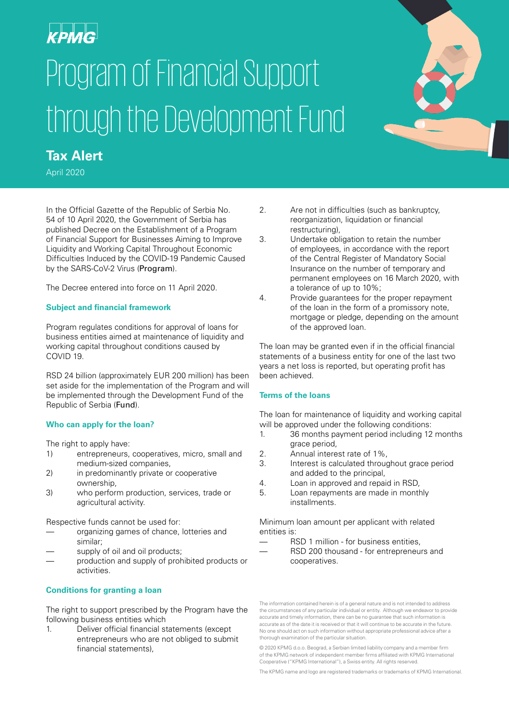# Program of Financial Support through the Development Fund



April 2020

In the Official Gazette of the Republic of Serbia No. 54 of 10 April 2020, the Government of Serbia has published Decree on the Establishment of a Program of Financial Support for Businesses Aiming to Improve Liquidity and Working Capital Throughout Economic Difficulties Induced by the COVID-19 Pandemic Caused by the SARS-CoV-2 Virus (Program).

The Decree entered into force on 11 April 2020.

#### **Subject and financial framework**

Program regulates conditions for approval of loans for business entities aimed at maintenance of liquidity and working capital throughout conditions caused by COVID 19.

RSD 24 billion (approximately EUR 200 million) has been set aside for the implementation of the Program and will be implemented through the Development Fund of the Republic of Serbia (Fund).

# **Who can apply for the loan?**

The right to apply have:

- 1) entrepreneurs, cooperatives, micro, small and medium-sized companies,
- 2) in predominantly private or cooperative ownership,
- 3) who perform production, services, trade or agricultural activity.

Respective funds cannot be used for:

- organizing games of chance, lotteries and similar;
- supply of oil and oil products;
- production and supply of prohibited products or activities.

# **Conditions for granting a loan**

The right to support prescribed by the Program have the following business entities which

1. Deliver official financial statements (except entrepreneurs who are not obliged to submit financial statements)

- 2. Are not in difficulties (such as bankruptcy, reorganization, liquidation or financial restructuring),
- 3. Undertake obligation to retain the number of employees, in accordance with the report of the Central Register of Mandatory Social Insurance on the number of temporary and permanent employees on 16 March 2020, with a tolerance of up to 10%;
- 4. Provide guarantees for the proper repayment of the loan in the form of a promissory note, mortgage or pledge, depending on the amount of the approved loan.

The loan may be granted even if in the official financial statements of a business entity for one of the last two years a net loss is reported, but operating profit has been achieved.

# **Terms of the loans**

The loan for maintenance of liquidity and working capital will be approved under the following conditions:

- 1. 36 months payment period including 12 months grace period,
- 2. Annual interest rate of 1%,
- 3. Interest is calculated throughout grace period and added to the principal,
- 4. Loan in approved and repaid in RSD,
- 5. Loan repayments are made in monthly installments.

Minimum loan amount per applicant with related entities is:

- RSD 1 million for business entities,
- RSD 200 thousand for entrepreneurs and cooperatives.

The information contained herein is of a general nature and is not intended to address the circumstances of any particular individual or entity. Although we endeavor to provide accurate and timely information, there can be no guarantee that such information is accurate as of the date it is received or that it will continue to be accurate in the future. No one should act on such information without appropriate professional advice after a thorough examination of the particular situation.

© 2020 KPMG d.o.o. Beograd, a Serbian limited liability company and a member firm of the KPMG network of independent member firms affiliated with KPMG International Cooperative ("KPMG International"), a Swiss entity. All rights reserved.

The KPMG name and logo are registered trademarks or trademarks of KPMG International.